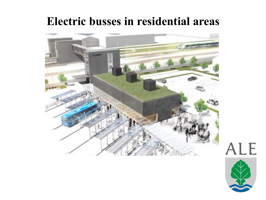# **Electric busses in residential areas**



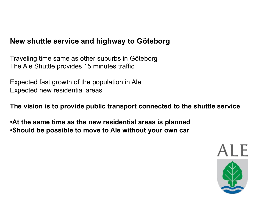## **New shuttle service and highway to Göteborg**

Traveling time same as other suburbs in Göteborg The Ale Shuttle provides 15 minutes traffic

Expected fast growth of the population in Ale Expected new residential areas

**The vision is to provide public transport connected to the shuttle service** 

•**At the same time as the new residential areas is planned**  •**Should be possible to move to Ale without your own car** 

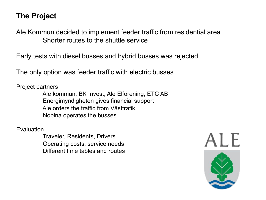## **The Project**

Ale Kommun decided to implement feeder traffic from residential area Shorter routes to the shuttle service

Early tests with diesel busses and hybrid busses was rejected

The only option was feeder traffic with electric busses

Project partners

Ale kommun, BK Invest, Ale Elförening, ETC AB Energimyndigheten gives financial support Ale orders the traffic from Västtrafik Nobina operates the busses

Evaluation

Traveler, Residents, Drivers Operating costs, service needs Different time tables and routes

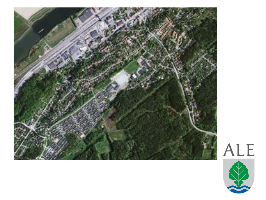

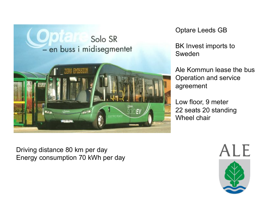

Optare Leeds GB

BK Invest imports to Sweden

Ale Kommun lease the bus Operation and service agreement

Low floor, 9 meter 22 seats 20 standing Wheel chair

Driving distance 80 km per day Energy consumption 70 kWh per day

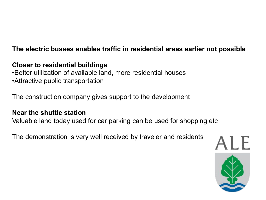### **The electric busses enables traffic in residential areas earlier not possible**

### **Closer to residential buildings**

•Better utilization of available land, more residential houses •Attractive public transportation

The construction company gives support to the development

#### **Near the shuttle station**

Valuable land today used for car parking can be used for shopping etc

The demonstration is very well received by traveler and residents